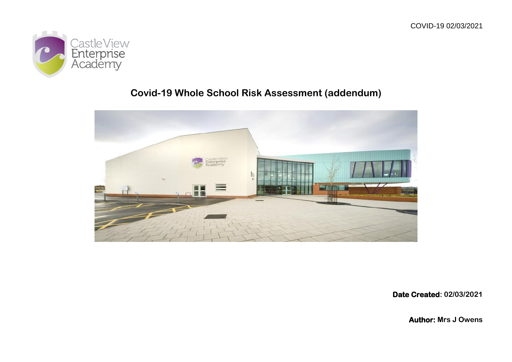

## **Covid-19 Whole School Risk Assessment (addendum)**



**Date Created: 02/03/2021**

**Author: Mrs J Owens**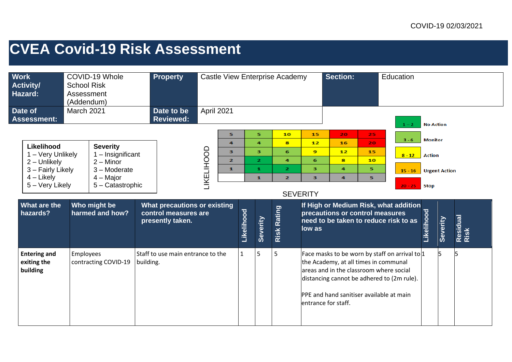## **CVEA Covid-19 Risk Assessment**

| <b>Work</b><br><b>Activity/</b><br>Hazard:                                                                                            | COVID-19 Whole<br><b>School Risk</b><br>Assessment<br>(Addendum)                                                                            | <b>Property</b>                                                          |                   | <b>Castle View Enterprise Academy</b>                      |            |                                                                                         |                                                                                                                                                                                                                                                            |                                                                      | <b>Section:</b><br>Education                                                  |                                                 |                                                                                                                                 |                                                              |                                  |                  |
|---------------------------------------------------------------------------------------------------------------------------------------|---------------------------------------------------------------------------------------------------------------------------------------------|--------------------------------------------------------------------------|-------------------|------------------------------------------------------------|------------|-----------------------------------------------------------------------------------------|------------------------------------------------------------------------------------------------------------------------------------------------------------------------------------------------------------------------------------------------------------|----------------------------------------------------------------------|-------------------------------------------------------------------------------|-------------------------------------------------|---------------------------------------------------------------------------------------------------------------------------------|--------------------------------------------------------------|----------------------------------|------------------|
| Date of<br><b>Assessment:</b>                                                                                                         | March 2021                                                                                                                                  | Date to be<br><b>Reviewed:</b>                                           | April 2021        |                                                            |            |                                                                                         |                                                                                                                                                                                                                                                            |                                                                      |                                                                               |                                                 | $1 - 2$                                                                                                                         | <b>No Action</b>                                             |                                  |                  |
| Likelihood<br>1 - Very Unlikely<br>$2 -$ Unlikely<br>3 - Fairly Likely<br>$4$ – Likely<br>5 - Very Likely<br>What are the<br>hazards? | <b>Severity</b><br>$1 -$ Insignificant<br>$2 -$ Minor<br>3 - Moderate<br>$4 -$ Major<br>5 - Catastrophic<br>Who might be<br>harmed and how? | What precautions or existing<br>control measures are<br>presently taken. | <b>LIKELIHOOD</b> | 5<br>$\overline{4}$<br>3<br>$\overline{2}$<br>$\mathbf{1}$ | Likelihood | 5.<br>$\overline{a}$<br>3<br>$\overline{2}$<br>$\mathbf{1}$<br>$\mathbf{1}$<br>Severity | 10<br>8<br>6<br>4<br>$\mathbf{z}$<br>$\overline{2}$<br>Risk Rating                                                                                                                                                                                         | 15<br>12<br>$\mathbf{9}$<br>6<br>з<br>з<br><b>SEVERITY</b><br>low as | 20<br>16<br>12<br>8<br>4<br>$\overline{a}$<br>precautions or control measures | 25.<br>20.<br>15<br>10 <sub>1</sub><br>5.<br>5. | $3 - 6$<br>$8 - 12$<br>$15 - 16$<br>$20 - 25$<br>If High or Medium Risk, what addition<br>need to be taken to reduce risk to as | <b>Monitor</b><br><b>Action</b><br><b>Stop</b><br>Likelihood | <b>Urgent Action</b><br>Severity | Residual<br>Risk |
| <b>Entering and</b><br>exiting the<br>building                                                                                        | Employees<br>contracting COVID-19                                                                                                           | Staff to use main entrance to the<br>building.                           |                   | $\mathbf{1}$                                               | 5          | 5                                                                                       | Face masks to be worn by staff on arrival to 1<br>the Academy, at all times in communal<br>areas and in the classroom where social<br>distancing cannot be adhered to (2m rule).<br><b>PPE</b> and hand sanitiser available at main<br>entrance for staff. |                                                                      |                                                                               |                                                 | 5.                                                                                                                              |                                                              |                                  |                  |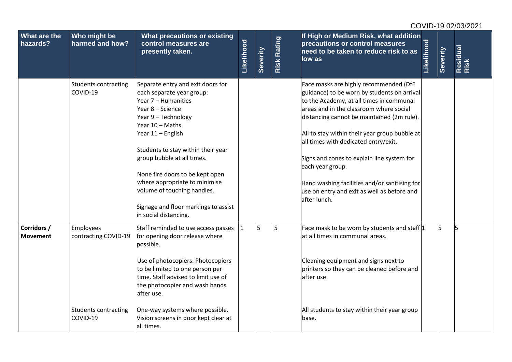|                                |                                                                              |                                                                                                                                                                                                                                                                                                                                                                                                                  |            |          |             |                                                                                                                                                                                                                                                                                                                                                                                                                                                                                                       |            |          | COVID-19 02/03/2021 |
|--------------------------------|------------------------------------------------------------------------------|------------------------------------------------------------------------------------------------------------------------------------------------------------------------------------------------------------------------------------------------------------------------------------------------------------------------------------------------------------------------------------------------------------------|------------|----------|-------------|-------------------------------------------------------------------------------------------------------------------------------------------------------------------------------------------------------------------------------------------------------------------------------------------------------------------------------------------------------------------------------------------------------------------------------------------------------------------------------------------------------|------------|----------|---------------------|
| What are the<br>hazards?       | Who might be<br>harmed and how?                                              | <b>What precautions or existing</b><br>control measures are<br>presently taken.                                                                                                                                                                                                                                                                                                                                  | Likelihood | Severity | Risk Rating | If High or Medium Risk, what addition<br>precautions or control measures<br>need to be taken to reduce risk to as<br>low as                                                                                                                                                                                                                                                                                                                                                                           | Likelihood | Severity | Residual<br>Risk    |
|                                | <b>Students contracting</b><br>COVID-19                                      | Separate entry and exit doors for<br>each separate year group:<br>Year 7 - Humanities<br>Year 8 - Science<br>Year 9 - Technology<br>Year 10 - Maths<br>Year 11 - English<br>Students to stay within their year<br>group bubble at all times.<br>None fire doors to be kept open<br>where appropriate to minimise<br>volume of touching handles.<br>Signage and floor markings to assist<br>in social distancing. |            |          |             | Face masks are highly recommended (DfE<br>guidance) to be worn by students on arrival<br>to the Academy, at all times in communal<br>areas and in the classroom where social<br>distancing cannot be maintained (2m rule).<br>All to stay within their year group bubble at<br>all times with dedicated entry/exit.<br>Signs and cones to explain line system for<br>each year group.<br>Hand washing facilities and/or sanitising for<br>use on entry and exit as well as before and<br>after lunch. |            |          |                     |
| Corridors /<br><b>Movement</b> | Employees<br>contracting COVID-19<br><b>Students contracting</b><br>COVID-19 | Staff reminded to use access passes<br>for opening door release where<br>possible.<br>Use of photocopiers: Photocopiers<br>to be limited to one person per<br>time. Staff advised to limit use of<br>the photocopier and wash hands<br>after use.<br>One-way systems where possible.<br>Vision screens in door kept clear at<br>all times.                                                                       | $\vert$ 1  | 5        | 5           | Face mask to be worn by students and staff <sup>1</sup><br>at all times in communal areas.<br>Cleaning equipment and signs next to<br>printers so they can be cleaned before and<br>lafter use.<br>All students to stay within their year group<br>lbase.                                                                                                                                                                                                                                             |            | 5        |                     |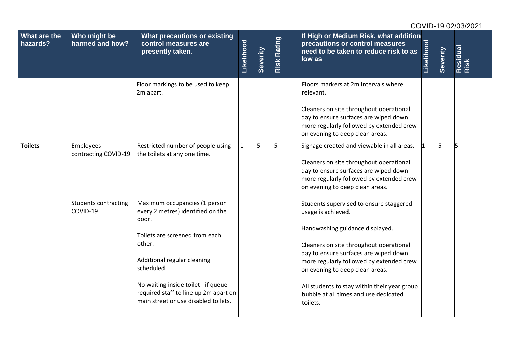|                          |                                         |                                                                                                                                                                                                                                                                                              |              |          |                    |                                                                                                                                                                                                                                                                                                                                                                          |            |          | COVID-19 02/03/2021 |
|--------------------------|-----------------------------------------|----------------------------------------------------------------------------------------------------------------------------------------------------------------------------------------------------------------------------------------------------------------------------------------------|--------------|----------|--------------------|--------------------------------------------------------------------------------------------------------------------------------------------------------------------------------------------------------------------------------------------------------------------------------------------------------------------------------------------------------------------------|------------|----------|---------------------|
| What are the<br>hazards? | Who might be<br>harmed and how?         | What precautions or existing<br>control measures are<br>presently taken.                                                                                                                                                                                                                     | Likelihood   | Severity | <b>Risk Rating</b> | If High or Medium Risk, what addition<br>precautions or control measures<br>need to be taken to reduce risk to as<br>low as                                                                                                                                                                                                                                              | Likelihood | Severity | Residual<br>Risk    |
|                          |                                         | Floor markings to be used to keep<br>2m apart.                                                                                                                                                                                                                                               |              |          |                    | Floors markers at 2m intervals where<br>relevant.<br>Cleaners on site throughout operational<br>day to ensure surfaces are wiped down<br>more regularly followed by extended crew<br>on evening to deep clean areas.                                                                                                                                                     |            |          |                     |
| <b>Toilets</b>           | Employees<br>contracting COVID-19       | Restricted number of people using<br>the toilets at any one time.                                                                                                                                                                                                                            | $\mathbf{1}$ | 5        | 5                  | Signage created and viewable in all areas.<br>Cleaners on site throughout operational<br>day to ensure surfaces are wiped down<br>more regularly followed by extended crew<br>on evening to deep clean areas.                                                                                                                                                            |            | l5       |                     |
|                          | <b>Students contracting</b><br>COVID-19 | Maximum occupancies (1 person<br>every 2 metres) identified on the<br>door.<br>Toilets are screened from each<br>other.<br>Additional regular cleaning<br>scheduled.<br>No waiting inside toilet - if queue<br>required staff to line up 2m apart on<br>main street or use disabled toilets. |              |          |                    | Students supervised to ensure staggered<br>usage is achieved.<br>Handwashing guidance displayed.<br>Cleaners on site throughout operational<br>day to ensure surfaces are wiped down<br>more regularly followed by extended crew<br>on evening to deep clean areas.<br>All students to stay within their year group<br>bubble at all times and use dedicated<br>toilets. |            |          |                     |